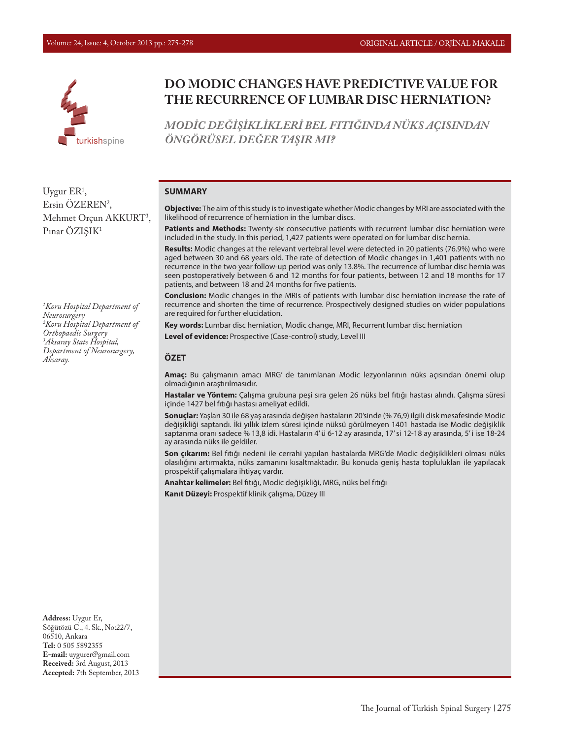

# **DO MODIC CHANGES HAVE PREDICTIVE VALUE FOR THE RECURRENCE OF LUMBAR DISC HERNIATION?**

*MODİC DEĞİŞİKLİKLERİ BEL FITIĞINDA NÜKS AÇISINDAN ÖNGÖRÜSEL DEĞER TAŞIR MI?*

#### **SUMMARY**

**Objective:** The aim of this study is to investigate whether Modic changes by MRI are associated with the likelihood of recurrence of herniation in the lumbar discs.

**Patients and Methods:** Twenty-six consecutive patients with recurrent lumbar disc herniation were included in the study. In this period, 1,427 patients were operated on for lumbar disc hernia.

**Results:** Modic changes at the relevant vertebral level were detected in 20 patients (76.9%) who were aged between 30 and 68 years old. The rate of detection of Modic changes in 1,401 patients with no recurrence in the two year follow-up period was only 13.8%. The recurrence of lumbar disc hernia was seen postoperatively between 6 and 12 months for four patients, between 12 and 18 months for 17 patients, and between 18 and 24 months for five patients.

**Conclusion:** Modic changes in the MRIs of patients with lumbar disc herniation increase the rate of recurrence and shorten the time of recurrence. Prospectively designed studies on wider populations are required for further elucidation.

**Key words:** Lumbar disc herniation, Modic change, MRI, Recurrent lumbar disc herniation **Level of evidence:** Prospective (Case-control) study, Level III

#### **ÖZET**

**Amaç:** Bu çalışmanın amacı MRG' de tanımlanan Modic lezyonlarının nüks açısından önemi olup olmadığının araştırılmasıdır.

**Hastalar ve Yöntem:** Çalışma grubuna peşi sıra gelen 26 nüks bel fıtığı hastası alındı. Çalışma süresi içinde 1427 bel fıtığı hastası ameliyat edildi.

**Sonuçlar:** Yaşları 30 ile 68 yaş arasında değişen hastaların 20'sinde (% 76,9) ilgili disk mesafesinde Modic değişikliği saptandı. İki yıllık izlem süresi içinde nüksü görülmeyen 1401 hastada ise Modic değişiklik saptanma oranı sadece % 13,8 idi. Hastaların 4' ü 6-12 ay arasında, 17' si 12-18 ay arasında, 5' i ise 18-24 ay arasında nüks ile geldiler.

**Son çıkarım:** Bel fıtığı nedeni ile cerrahi yapılan hastalarda MRG'de Modic değişiklikleri olması nüks olasılığını artırmakta, nüks zamanını kısaltmaktadır. Bu konuda geniş hasta toplulukları ile yapılacak prospektif çalışmalara ihtiyaç vardır.

**Anahtar kelimeler:** Bel fıtığı, Modic değişikliği, MRG, nüks bel fıtığı **Kanıt Düzeyi:** Prospektif klinik çalışma, Düzey III

**Address:** Uygur Er, Söğütözü C., 4. Sk., No:22/7, 06510, Ankara **Tel:** 0 505 5892355 **E-mail:** uygurer@gmail.com **Received:** 3rd August, 2013 **Accepted:** 7th September, 2013

Ersin ÖZEREN2 , Mehmet Orçun AKKURT<sup>3</sup>, Pınar ÖZISIK<sup>1</sup>

Uygur ER<sup>1</sup>,

*1 Koru Hospital Department of Neurosurgery 2 Koru Hospital Department of Orthopaedic Surgery 3 Aksaray State Hospital, Department of Neurosurgery, Aksaray.*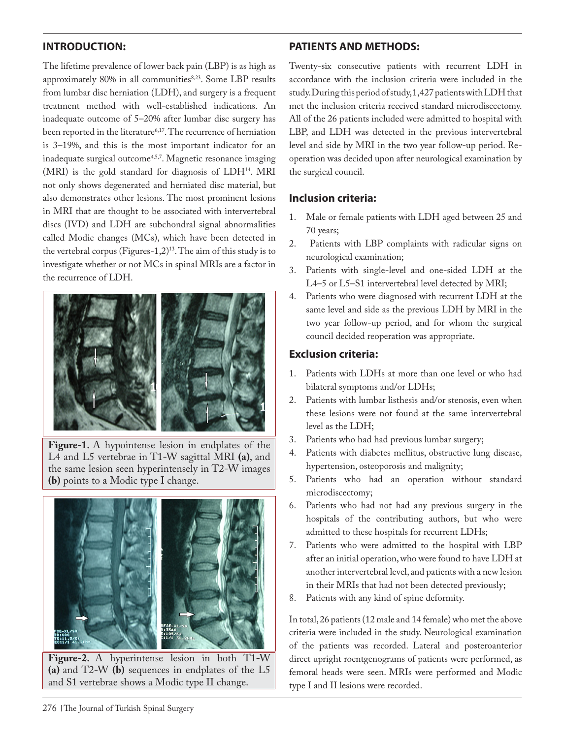## **INTRODUCTION:**

The lifetime prevalence of lower back pain (LBP) is as high as approximately 80% in all communities8,23. Some LBP results from lumbar disc herniation (LDH), and surgery is a frequent treatment method with well-established indications. An inadequate outcome of 5–20% after lumbar disc surgery has been reported in the literature<sup>6,17</sup>. The recurrence of herniation is 3–19%, and this is the most important indicator for an inadequate surgical outcome<sup>4,5,7</sup>. Magnetic resonance imaging (MRI) is the gold standard for diagnosis of LDH14. MRI not only shows degenerated and herniated disc material, but also demonstrates other lesions. The most prominent lesions in MRI that are thought to be associated with intervertebral discs (IVD) and LDH are subchondral signal abnormalities called Modic changes (MCs), which have been detected in the vertebral corpus (Figures-1,2)13. The aim of this study is to investigate whether or not MCs in spinal MRIs are a factor in the recurrence of LDH.



**Figure-1.** A hypointense lesion in endplates of the L4 and L5 vertebrae in T1-W sagittal MRI **(a)**, and the same lesion seen hyperintensely in T2-W images **(b)** points to a Modic type I change.



**Figure-2.** A hyperintense lesion in both T1-W **(a)** and T2-W **(b)** sequences in endplates of the L5 and S1 vertebrae shows a Modic type II change.

## **PATIENTS AND METHODS:**

Twenty-six consecutive patients with recurrent LDH in accordance with the inclusion criteria were included in the study. During this period of study, 1,427 patients with LDH that met the inclusion criteria received standard microdiscectomy. All of the 26 patients included were admitted to hospital with LBP, and LDH was detected in the previous intervertebral level and side by MRI in the two year follow-up period. Reoperation was decided upon after neurological examination by the surgical council.

### **Inclusion criteria:**

- 1. Male or female patients with LDH aged between 25 and 70 years;
- 2. Patients with LBP complaints with radicular signs on neurological examination;
- 3. Patients with single-level and one-sided LDH at the L4–5 or L5–S1 intervertebral level detected by MRI;
- 4. Patients who were diagnosed with recurrent LDH at the same level and side as the previous LDH by MRI in the two year follow-up period, and for whom the surgical council decided reoperation was appropriate.

### **Exclusion criteria:**

- 1. Patients with LDHs at more than one level or who had bilateral symptoms and/or LDHs;
- 2. Patients with lumbar listhesis and/or stenosis, even when these lesions were not found at the same intervertebral level as the LDH;
- 3. Patients who had had previous lumbar surgery;
- 4. Patients with diabetes mellitus, obstructive lung disease, hypertension, osteoporosis and malignity;
- 5. Patients who had an operation without standard microdiscectomy;
- 6. Patients who had not had any previous surgery in the hospitals of the contributing authors, but who were admitted to these hospitals for recurrent LDHs;
- 7. Patients who were admitted to the hospital with LBP after an initial operation, who were found to have LDH at another intervertebral level, and patients with a new lesion in their MRIs that had not been detected previously;
- 8. Patients with any kind of spine deformity.

In total, 26 patients (12 male and 14 female) who met the above criteria were included in the study. Neurological examination of the patients was recorded. Lateral and posteroanterior direct upright roentgenograms of patients were performed, as femoral heads were seen. MRIs were performed and Modic type I and II lesions were recorded.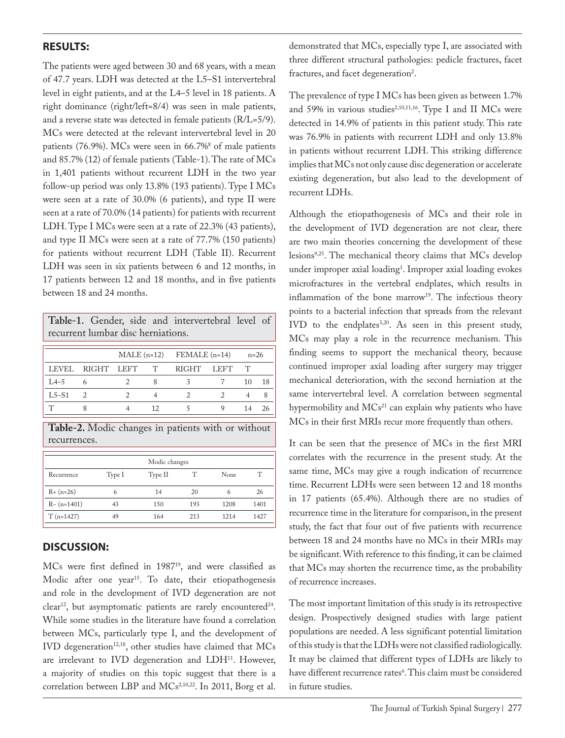#### **RESULTS:**

The patients were aged between 30 and 68 years, with a mean of 47.7 years. LDH was detected at the L5–S1 intervertebral level in eight patients, and at the L4–5 level in 18 patients. A right dominance (right/left=8/4) was seen in male patients, and a reverse state was detected in female patients (R/L=5/9). MCs were detected at the relevant intervertebral level in 20 patients (76.9%). MCs were seen in 66.7%<sup>8</sup> of male patients and 85.7% (12) of female patients (Table-1). The rate of MCs in 1,401 patients without recurrent LDH in the two year follow-up period was only 13.8% (193 patients). Type I MCs were seen at a rate of 30.0% (6 patients), and type II were seen at a rate of 70.0% (14 patients) for patients with recurrent LDH. Type I MCs were seen at a rate of 22.3% (43 patients), and type II MCs were seen at a rate of 77.7% (150 patients) for patients without recurrent LDH (Table II). Recurrent LDH was seen in six patients between 6 and 12 months, in 17 patients between 12 and 18 months, and in five patients between 18 and 24 months.

**Table-1.** Gender, side and intervertebral level of recurrent lumbar disc herniations.

|         |                  |  |        | $\text{MALE}$ (n=12) FEMALE (n=14) |  | $n=26$ |    |
|---------|------------------|--|--------|------------------------------------|--|--------|----|
|         | LEVEL RIGHT LEFT |  | $\top$ | RIGHT LEFT                         |  |        |    |
| $L4-5$  |                  |  |        |                                    |  | 10     | 18 |
| $L5-S1$ |                  |  |        |                                    |  |        |    |
|         |                  |  |        |                                    |  | 14     |    |

**Table-2.** Modic changes in patients with or without recurrences.

| Modic changes  |        |         |     |             |      |  |  |  |  |
|----------------|--------|---------|-----|-------------|------|--|--|--|--|
| Recurrence     | Type I | Type II |     | <b>None</b> |      |  |  |  |  |
| $R + (n=26)$   | 6      | 14      | 20  | 6           | 26   |  |  |  |  |
| $R - (n=1401)$ | 43     | 150     | 193 | 1208        | 1401 |  |  |  |  |
| $T(n=1427)$    | 49     | 164     | 213 | 1214        | 1427 |  |  |  |  |

#### **DISCUSSION:**

MCs were first defined in 198719, and were classified as Modic after one year<sup>15</sup>. To date, their etiopathogenesis and role in the development of IVD degeneration are not  $clear<sup>12</sup>$ , but asymptomatic patients are rarely encountered<sup>24</sup>. While some studies in the literature have found a correlation between MCs, particularly type I, and the development of IVD degeneration<sup>12,18</sup>, other studies have claimed that MCs are irrelevant to IVD degeneration and LDH<sup>11</sup>. However, a majority of studies on this topic suggest that there is a correlation between LBP and MCs<sup>2,10,22</sup>. In 2011, Borg et al. demonstrated that MCs, especially type I, are associated with three different structural pathologies: pedicle fractures, facet fractures, and facet degeneration<sup>2</sup>.

The prevalence of type I MCs has been given as between 1.7% and 59% in various studies<sup>2,10,11,16</sup>. Type I and II MCs were detected in 14.9% of patients in this patient study. This rate was 76.9% in patients with recurrent LDH and only 13.8% in patients without recurrent LDH. This striking difference implies that MCs not only cause disc degeneration or accelerate existing degeneration, but also lead to the development of recurrent LDHs.

Although the etiopathogenesis of MCs and their role in the development of IVD degeneration are not clear, there are two main theories concerning the development of these lesions9,25. The mechanical theory claims that MCs develop under improper axial loading<sup>1</sup>. Improper axial loading evokes microfractures in the vertebral endplates, which results in inflammation of the bone marrow<sup>19</sup>. The infectious theory points to a bacterial infection that spreads from the relevant IVD to the endplates<sup>3,20</sup>. As seen in this present study, MCs may play a role in the recurrence mechanism. This finding seems to support the mechanical theory, because continued improper axial loading after surgery may trigger mechanical deterioration, with the second herniation at the same intervertebral level. A correlation between segmental hypermobility and  $MCs^{21}$  can explain why patients who have MCs in their first MRIs recur more frequently than others.

It can be seen that the presence of MCs in the first MRI correlates with the recurrence in the present study. At the same time, MCs may give a rough indication of recurrence time. Recurrent LDHs were seen between 12 and 18 months in 17 patients (65.4%). Although there are no studies of recurrence time in the literature for comparison, in the present study, the fact that four out of five patients with recurrence between 18 and 24 months have no MCs in their MRIs may be significant. With reference to this finding, it can be claimed that MCs may shorten the recurrence time, as the probability of recurrence increases.

The most important limitation of this study is its retrospective design. Prospectively designed studies with large patient populations are needed. A less significant potential limitation of this study is that the LDHs were not classified radiologically. It may be claimed that different types of LDHs are likely to have different recurrence rates<sup>6</sup>. This claim must be considered in future studies.